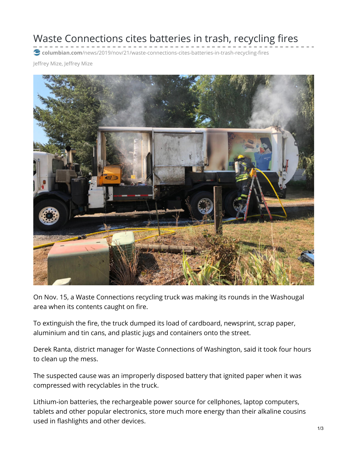Waste Connections cites batteries in trash, recycling fires

**columbian.com**[/news/2019/nov/21/waste-connections-cites-batteries-in-trash-recycling-fires](https://www.columbian.com/news/2019/nov/21/waste-connections-cites-batteries-in-trash-recycling-fires/)

Jeffrey Mize, Jeffrey Mize



On Nov. 15, a Waste Connections recycling truck was making its rounds in the Washougal area when its contents caught on fire.

To extinguish the fire, the truck dumped its load of cardboard, newsprint, scrap paper, aluminium and tin cans, and plastic jugs and containers onto the street.

Derek Ranta, district manager for Waste Connections of Washington, said it took four hours to clean up the mess.

The suspected cause was an improperly disposed battery that ignited paper when it was compressed with recyclables in the truck.

Lithium-ion batteries, the rechargeable power source for cellphones, laptop computers, tablets and other popular electronics, store much more energy than their alkaline cousins used in flashlights and other devices.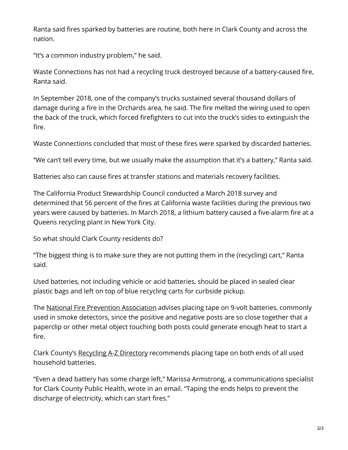Ranta said fires sparked by batteries are routine, both here in Clark County and across the nation.

"It's a common industry problem," he said.

Waste Connections has not had a recycling truck destroyed because of a battery-caused fire, Ranta said.

In September 2018, one of the company's trucks sustained several thousand dollars of damage during a fire in the Orchards area, he said. The fire melted the wiring used to open the back of the truck, which forced firefighters to cut into the truck's sides to extinguish the fire.

Waste Connections concluded that most of these fires were sparked by discarded batteries.

"We can't tell every time, but we usually make the assumption that it's a battery," Ranta said.

Batteries also can cause fires at transfer stations and materials recovery facilities.

The California Product Stewardship Council conducted a March 2018 survey and determined that 56 percent of the fires at California waste facilities during the previous two years were caused by batteries. In March 2018, a lithium battery caused a five-alarm fire at a Queens recycling plant in New York City.

So what should Clark County residents do?

"The biggest thing is to make sure they are not putting them in the (recycling) cart," Ranta said.

Used batteries, not including vehicle or acid batteries, should be placed in sealed clear plastic bags and left on top of blue recycling carts for curbside pickup.

The National Fire Prevention [Association](https://www.nfpa.org/-/media/Files/Public-Education/Resources/Safety-tip-sheets/9VoltBatterySafety.ashx?la=en) advises placing tape on 9-volt batteries, commonly used in smoke detectors, since the positive and negative posts are so close together that a paperclip or other metal object touching both posts could generate enough heat to start a fire.

Clark County's [Recycling](https://www.clark.wa.gov/public-health/recycling-z) A-Z Directory recommends placing tape on both ends of all used household batteries.

"Even a dead battery has some charge left," Marissa Armstrong, a communications specialist for Clark County Public Health, wrote in an email. "Taping the ends helps to prevent the discharge of electricity, which can start fires."